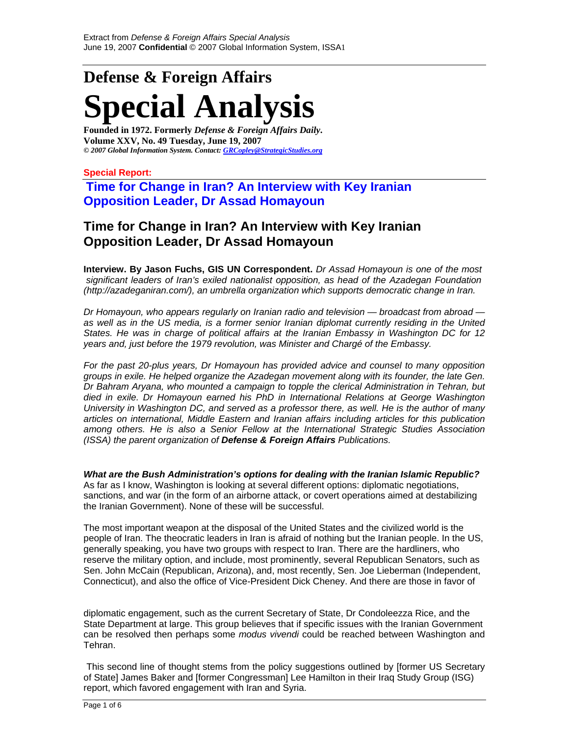# **Defense & Foreign Affairs Special Analysis**

**Founded in 1972. Formerly** *Defense & Foreign Affairs Daily***. Volume XXV, No. 49 Tuesday, June 19, 2007**  *© 2007 Global Information System. Contact: GRCopley@StrategicStudies.org*

**Special Report:** 

**Time for Change in Iran? An Interview with Key Iranian Opposition Leader, Dr Assad Homayoun** 

# **Time for Change in Iran? An Interview with Key Iranian Opposition Leader, Dr Assad Homayoun**

**Interview. By Jason Fuchs, GIS UN Correspondent.** *Dr Assad Homayoun is one of the most significant leaders of Iran's exiled nationalist opposition, as head of the Azadegan Foundation (http://azadeganiran.com/), an umbrella organization which supports democratic change in Iran.* 

*Dr Homayoun, who appears regularly on Iranian radio and television — broadcast from abroad*  as well as in the US media, is a former senior Iranian diplomat currently residing in the United *States. He was in charge of political affairs at the Iranian Embassy in Washington DC for 12 years and, just before the 1979 revolution, was Minister and Chargé of the Embassy.* 

*For the past 20-plus years, Dr Homayoun has provided advice and counsel to many opposition groups in exile. He helped organize the Azadegan movement along with its founder, the late Gen. Dr Bahram Aryana, who mounted a campaign to topple the clerical Administration in Tehran, but died in exile. Dr Homayoun earned his PhD in International Relations at George Washington University in Washington DC, and served as a professor there, as well. He is the author of many articles on international, Middle Eastern and Iranian affairs including articles for this publication among others. He is also a Senior Fellow at the International Strategic Studies Association (ISSA) the parent organization of Defense & Foreign Affairs Publications.* 

*What are the Bush Administration's options for dealing with the Iranian Islamic Republic?*  As far as I know, Washington is looking at several different options: diplomatic negotiations, sanctions, and war (in the form of an airborne attack, or covert operations aimed at destabilizing the Iranian Government). None of these will be successful.

The most important weapon at the disposal of the United States and the civilized world is the people of Iran. The theocratic leaders in Iran is afraid of nothing but the Iranian people. In the US, generally speaking, you have two groups with respect to Iran. There are the hardliners, who reserve the military option, and include, most prominently, several Republican Senators, such as Sen. John McCain (Republican, Arizona), and, most recently, Sen. Joe Lieberman (Independent, Connecticut), and also the office of Vice-President Dick Cheney. And there are those in favor of

diplomatic engagement, such as the current Secretary of State, Dr Condoleezza Rice, and the State Department at large. This group believes that if specific issues with the Iranian Government can be resolved then perhaps some *modus vivendi* could be reached between Washington and Tehran.

This second line of thought stems from the policy suggestions outlined by [former US Secretary of State] James Baker and [former Congressman] Lee Hamilton in their Iraq Study Group (ISG) report, which favored engagement with Iran and Syria.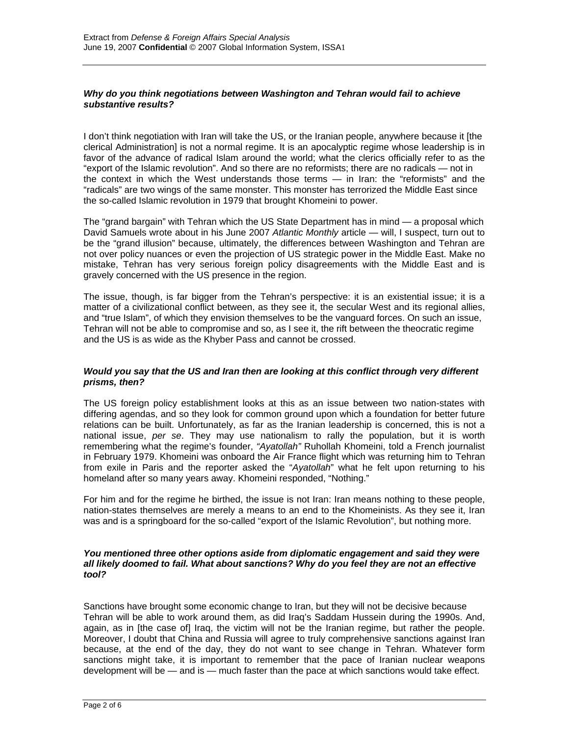#### *Why do you think negotiations between Washington and Tehran would fail to achieve substantive results?*

I don't think negotiation with Iran will take the US, or the Iranian people, anywhere because it [the clerical Administration] is not a normal regime. It is an apocalyptic regime whose leadership is in favor of the advance of radical Islam around the world; what the clerics officially refer to as the "export of the Islamic revolution". And so there are no reformists; there are no radicals — not in the context in which the West understands those terms — in Iran: the "reformists" and the "radicals" are two wings of the same monster. This monster has terrorized the Middle East since the so-called Islamic revolution in 1979 that brought Khomeini to power.

The "grand bargain" with Tehran which the US State Department has in mind — a proposal which David Samuels wrote about in his June 2007 *Atlantic Monthly* article — will, I suspect, turn out to be the "grand illusion" because, ultimately, the differences between Washington and Tehran are not over policy nuances or even the projection of US strategic power in the Middle East. Make no mistake, Tehran has very serious foreign policy disagreements with the Middle East and is gravely concerned with the US presence in the region.

The issue, though, is far bigger from the Tehran's perspective: it is an existential issue; it is a matter of a civilizational conflict between, as they see it, the secular West and its regional allies, and "true Islam", of which they envision themselves to be the vanguard forces. On such an issue, Tehran will not be able to compromise and so, as I see it, the rift between the theocratic regime and the US is as wide as the Khyber Pass and cannot be crossed.

#### *Would you say that the US and Iran then are looking at this conflict through very different prisms, then?*

The US foreign policy establishment looks at this as an issue between two nation-states with differing agendas, and so they look for common ground upon which a foundation for better future relations can be built. Unfortunately, as far as the Iranian leadership is concerned, this is not a national issue, *per se*. They may use nationalism to rally the population, but it is worth remembering what the regime's founder, *"Ayatollah"* Ruhollah Khomeini, told a French journalist in February 1979. Khomeini was onboard the Air France flight which was returning him to Tehran from exile in Paris and the reporter asked the "*Ayatollah*" what he felt upon returning to his homeland after so many years away. Khomeini responded, "Nothing."

For him and for the regime he birthed, the issue is not Iran: Iran means nothing to these people, nation-states themselves are merely a means to an end to the Khomeinists. As they see it, Iran was and is a springboard for the so-called "export of the Islamic Revolution", but nothing more.

#### *You mentioned three other options aside from diplomatic engagement and said they were all likely doomed to fail. What about sanctions? Why do you feel they are not an effective tool?*

Sanctions have brought some economic change to Iran, but they will not be decisive because Tehran will be able to work around them, as did Iraq's Saddam Hussein during the 1990s. And, again, as in [the case of] Iraq, the victim will not be the Iranian regime, but rather the people. Moreover, I doubt that China and Russia will agree to truly comprehensive sanctions against Iran because, at the end of the day, they do not want to see change in Tehran. Whatever form sanctions might take, it is important to remember that the pace of Iranian nuclear weapons development will be — and is — much faster than the pace at which sanctions would take effect.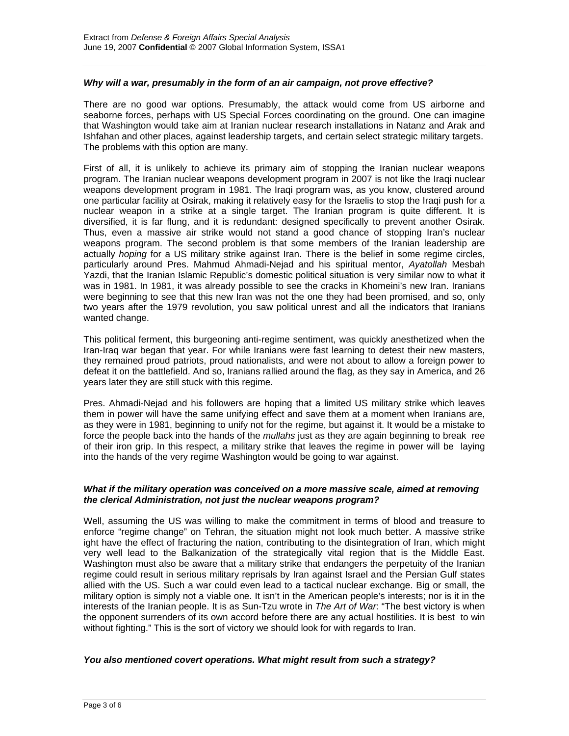#### *Why will a war, presumably in the form of an air campaign, not prove effective?*

There are no good war options. Presumably, the attack would come from US airborne and seaborne forces, perhaps with US Special Forces coordinating on the ground. One can imagine that Washington would take aim at Iranian nuclear research installations in Natanz and Arak and Ishfahan and other places, against leadership targets, and certain select strategic military targets. The problems with this option are many.

First of all, it is unlikely to achieve its primary aim of stopping the Iranian nuclear weapons program. The Iranian nuclear weapons development program in 2007 is not like the Iraqi nuclear weapons development program in 1981. The Iraqi program was, as you know, clustered around one particular facility at Osirak, making it relatively easy for the Israelis to stop the Iraqi push for a nuclear weapon in a strike at a single target. The Iranian program is quite different. It is diversified, it is far flung, and it is redundant: designed specifically to prevent another Osirak. Thus, even a massive air strike would not stand a good chance of stopping Iran's nuclear weapons program. The second problem is that some members of the Iranian leadership are actually *hoping* for a US military strike against Iran. There is the belief in some regime circles, particularly around Pres. Mahmud Ahmadi-Nejad and his spiritual mentor, *Ayatollah* Mesbah Yazdi, that the Iranian Islamic Republic's domestic political situation is very similar now to what it was in 1981. In 1981, it was already possible to see the cracks in Khomeini's new Iran. Iranians were beginning to see that this new Iran was not the one they had been promised, and so, only two years after the 1979 revolution, you saw political unrest and all the indicators that Iranians wanted change.

This political ferment, this burgeoning anti-regime sentiment, was quickly anesthetized when the Iran-Iraq war began that year. For while Iranians were fast learning to detest their new masters, they remained proud patriots, proud nationalists, and were not about to allow a foreign power to defeat it on the battlefield. And so, Iranians rallied around the flag, as they say in America, and 26 years later they are still stuck with this regime.

Pres. Ahmadi-Nejad and his followers are hoping that a limited US military strike which leaves them in power will have the same unifying effect and save them at a moment when Iranians are, as they were in 1981, beginning to unify not for the regime, but against it. It would be a mistake to force the people back into the hands of the *mullahs* just as they are again beginning to break ree of their iron grip. In this respect, a military strike that leaves the regime in power will be laying into the hands of the very regime Washington would be going to war against.

# *What if the military operation was conceived on a more massive scale, aimed at removing the clerical Administration, not just the nuclear weapons program?*

Well, assuming the US was willing to make the commitment in terms of blood and treasure to enforce "regime change" on Tehran, the situation might not look much better. A massive strike ight have the effect of fracturing the nation, contributing to the disintegration of Iran, which might very well lead to the Balkanization of the strategically vital region that is the Middle East. Washington must also be aware that a military strike that endangers the perpetuity of the Iranian regime could result in serious military reprisals by Iran against Israel and the Persian Gulf states allied with the US. Such a war could even lead to a tactical nuclear exchange. Big or small, the military option is simply not a viable one. It isn't in the American people's interests; nor is it in the interests of the Iranian people. It is as Sun-Tzu wrote in *The Art of War*: "The best victory is when the opponent surrenders of its own accord before there are any actual hostilities. It is best to win without fighting." This is the sort of victory we should look for with regards to Iran.

#### *You also mentioned covert operations. What might result from such a strategy?*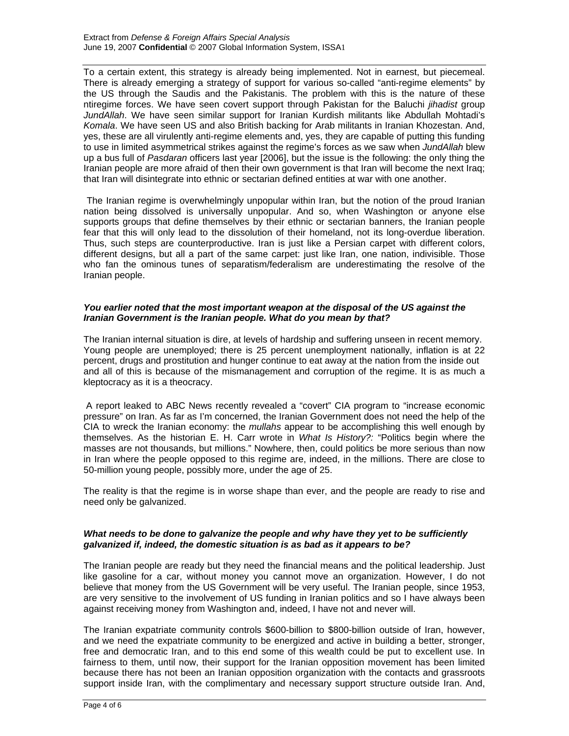To a certain extent, this strategy is already being implemented. Not in earnest, but piecemeal. There is already emerging a strategy of support for various so-called "anti-regime elements" by the US through the Saudis and the Pakistanis. The problem with this is the nature of these ntiregime forces. We have seen covert support through Pakistan for the Baluchi *jihadist* group *JundAllah*. We have seen similar support for Iranian Kurdish militants like Abdullah Mohtadi's *Komala*. We have seen US and also British backing for Arab militants in Iranian Khozestan. And, yes, these are all virulently anti-regime elements and, yes, they are capable of putting this funding to use in limited asymmetrical strikes against the regime's forces as we saw when *JundAllah* blew up a bus full of *Pasdaran* officers last year [2006], but the issue is the following: the only thing the Iranian people are more afraid of then their own government is that Iran will become the next Iraq; that Iran will disintegrate into ethnic or sectarian defined entities at war with one another.

The Iranian regime is overwhelmingly unpopular within Iran, but the notion of the proud Iranian nation being dissolved is universally unpopular. And so, when Washington or anyone else supports groups that define themselves by their ethnic or sectarian banners, the Iranian people fear that this will only lead to the dissolution of their homeland, not its long-overdue liberation. Thus, such steps are counterproductive. Iran is just like a Persian carpet with different colors, different designs, but all a part of the same carpet: just like Iran, one nation, indivisible. Those who fan the ominous tunes of separatism/federalism are underestimating the resolve of the Iranian people.

# *You earlier noted that the most important weapon at the disposal of the US against the Iranian Government is the Iranian people. What do you mean by that?*

The Iranian internal situation is dire, at levels of hardship and suffering unseen in recent memory. Young people are unemployed; there is 25 percent unemployment nationally, inflation is at 22 percent, drugs and prostitution and hunger continue to eat away at the nation from the inside out and all of this is because of the mismanagement and corruption of the regime. It is as much a kleptocracy as it is a theocracy.

 A report leaked to ABC News recently revealed a "covert" CIA program to "increase economic pressure" on Iran. As far as I'm concerned, the Iranian Government does not need the help of the CIA to wreck the Iranian economy: the *mullahs* appear to be accomplishing this well enough by themselves. As the historian E. H. Carr wrote in *What Is History?:* "Politics begin where the masses are not thousands, but millions." Nowhere, then, could politics be more serious than now in Iran where the people opposed to this regime are, indeed, in the millions. There are close to 50-million young people, possibly more, under the age of 25.

The reality is that the regime is in worse shape than ever, and the people are ready to rise and need only be galvanized.

# *What needs to be done to galvanize the people and why have they yet to be sufficiently galvanized if, indeed, the domestic situation is as bad as it appears to be?*

The Iranian people are ready but they need the financial means and the political leadership. Just like gasoline for a car, without money you cannot move an organization. However, I do not believe that money from the US Government will be very useful. The Iranian people, since 1953, are very sensitive to the involvement of US funding in Iranian politics and so I have always been against receiving money from Washington and, indeed, I have not and never will.

The Iranian expatriate community controls \$600-billion to \$800-billion outside of Iran, however, and we need the expatriate community to be energized and active in building a better, stronger, free and democratic Iran, and to this end some of this wealth could be put to excellent use. In fairness to them, until now, their support for the Iranian opposition movement has been limited because there has not been an Iranian opposition organization with the contacts and grassroots support inside Iran, with the complimentary and necessary support structure outside Iran. And,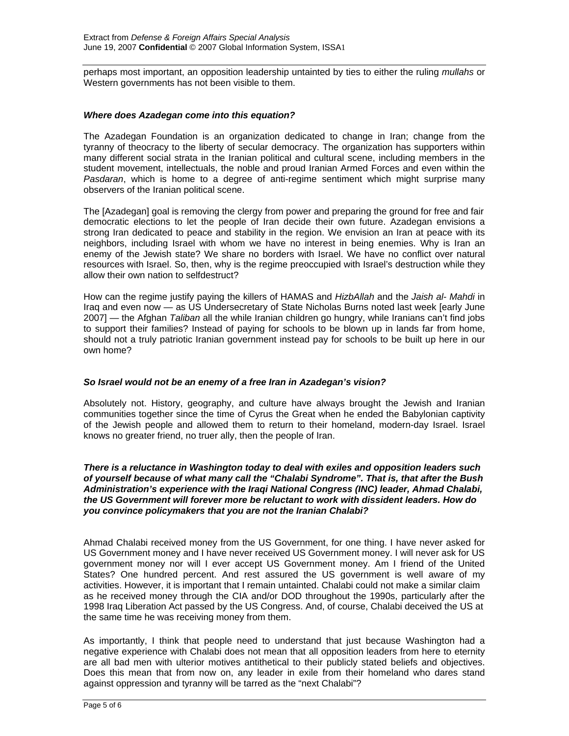perhaps most important, an opposition leadership untainted by ties to either the ruling *mullahs* or Western governments has not been visible to them.

# *Where does Azadegan come into this equation?*

The Azadegan Foundation is an organization dedicated to change in Iran; change from the tyranny of theocracy to the liberty of secular democracy. The organization has supporters within many different social strata in the Iranian political and cultural scene, including members in the student movement, intellectuals, the noble and proud Iranian Armed Forces and even within the *Pasdaran*, which is home to a degree of anti-regime sentiment which might surprise many observers of the Iranian political scene.

The [Azadegan] goal is removing the clergy from power and preparing the ground for free and fair democratic elections to let the people of Iran decide their own future. Azadegan envisions a strong Iran dedicated to peace and stability in the region. We envision an Iran at peace with its neighbors, including Israel with whom we have no interest in being enemies. Why is Iran an enemy of the Jewish state? We share no borders with Israel. We have no conflict over natural resources with Israel. So, then, why is the regime preoccupied with Israel's destruction while they allow their own nation to selfdestruct?

How can the regime justify paying the killers of HAMAS and *HizbAllah* and the *Jaish al- Mahdi* in Iraq and even now — as US Undersecretary of State Nicholas Burns noted last week [early June 2007] — the Afghan *Taliban* all the while Iranian children go hungry, while Iranians can't find jobs to support their families? Instead of paying for schools to be blown up in lands far from home, should not a truly patriotic Iranian government instead pay for schools to be built up here in our own home?

#### *So Israel would not be an enemy of a free Iran in Azadegan's vision?*

Absolutely not. History, geography, and culture have always brought the Jewish and Iranian communities together since the time of Cyrus the Great when he ended the Babylonian captivity of the Jewish people and allowed them to return to their homeland, modern-day Israel. Israel knows no greater friend, no truer ally, then the people of Iran.

#### *There is a reluctance in Washington today to deal with exiles and opposition leaders such of yourself because of what many call the "Chalabi Syndrome". That is, that after the Bush Administration's experience with the Iraqi National Congress (INC) leader, Ahmad Chalabi, the US Government will forever more be reluctant to work with dissident leaders. How do you convince policymakers that you are not the Iranian Chalabi?*

Ahmad Chalabi received money from the US Government, for one thing. I have never asked for US Government money and I have never received US Government money. I will never ask for US government money nor will I ever accept US Government money. Am I friend of the United States? One hundred percent. And rest assured the US government is well aware of my activities. However, it is important that I remain untainted. Chalabi could not make a similar claim as he received money through the CIA and/or DOD throughout the 1990s, particularly after the 1998 Iraq Liberation Act passed by the US Congress. And, of course, Chalabi deceived the US at the same time he was receiving money from them.

As importantly, I think that people need to understand that just because Washington had a negative experience with Chalabi does not mean that all opposition leaders from here to eternity are all bad men with ulterior motives antithetical to their publicly stated beliefs and objectives. Does this mean that from now on, any leader in exile from their homeland who dares stand against oppression and tyranny will be tarred as the "next Chalabi"?